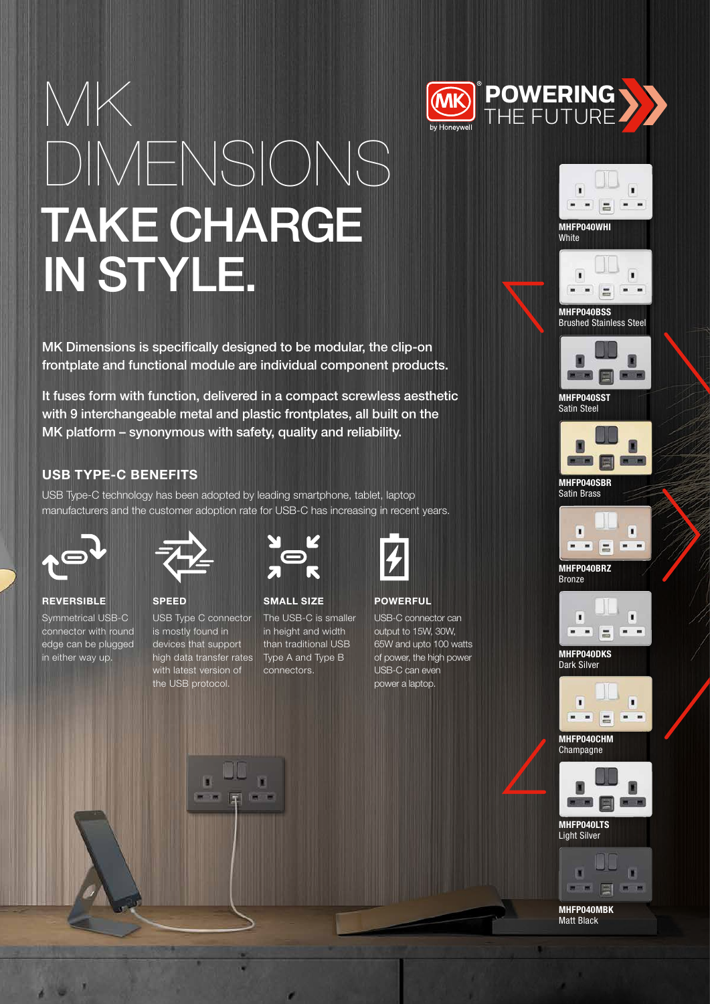

# MK DIMENSIONS TAKE CHARGE IN STYLE.

MK Dimensions is specifically designed to be modular, the clip-on frontplate and functional module are individual component products.

It fuses form with function, delivered in a compact screwless aesthetic with 9 interchangeable metal and plastic frontplates, all built on the MK platform – synonymous with safety, quality and reliability.

## USB TYPE-C BENEFITS

USB Type-C technology has been adopted by leading smartphone, tablet, laptop manufacturers and the customer adoption rate for USB-C has increasing in recent years.



**REVERSIBLE** Symmetrical USB-C connector with round edge can be plugged

in either way up.



SPEED USB Type C connector is mostly found in devices that support high data transfer rates with latest version of the USB protocol.



SMALL SIZE

V. m

The USB-C is smaller in height and width than traditional USB Type A and Type B connectors.



POWERFUL

USB-C connector can output to 15W, 30W, 65W and upto 100 watts of power, the high power USB-C can even power a laptop.





Brushed Stainless Steel



MHFP040SST Satin Steel



MHFP040SBR Satin Brass



MHFP040BRZ Bronze



MHFP040DKS Dark Silver



MHFP040CHM **Champagne** 



MHFP040LTS Light Silver



MHFP040MBK Matt Black